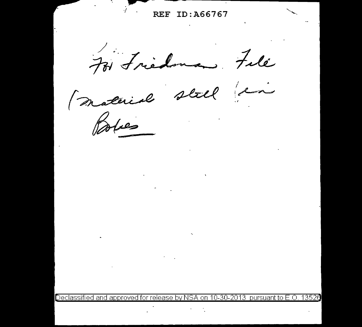п. REF ID: A66767 At Friedoman, File Material still an  $\mu$ 

Declassified and approved for release by NSA on 10-30-2013 pursuant to E.O 13526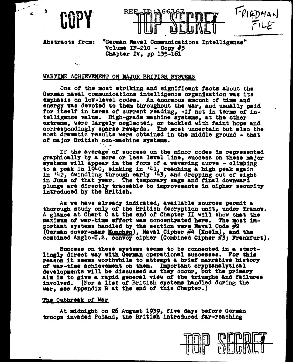

REE

FRIEDMAN

Abstracts from:

"German Naval Communications Intelligence" Volume IF-210 - Copy  $#3$ Chapter IV, pp 135-161

## WARTIME ACHIEVEMENT ON MAJOR BRITISH SYSTEMS

One of the most striking and significant facts about the German naval communications Intelligence organization was its emphasis on low-level codes. An enormous amount of time and energy was devoted to them throughout the war, and usually paid for itself in terms of current reading, -if not in terms of intelligence value. High-grade machine systems, at the other extreme, were largely neglected, or tackled with faint hope and correspondingly sparse revards. The most uncertain but also the most dramatic results were obtained in the middle ground - that of major British non-machine systems.

If the average of success on the minor codes is represented graphically by a more or less level line, success on these major systems will appear in the form of a wavering curve - climbing to a peak in 1940, sinking in '41, reaching a high peak again<br>in '42, dwindling through early '43, and dropping out of sight in June of that year. The temporary sags and final downward plunge are directly traceable to improvements in cipher security introduced by the British.

As we have already indicated, available sources permit a thorough study only of the British decryption unit, under Tranow. A glance at Chart C at the end of Chapter II will show that the maximum of war-time effort was concentrated here. The most important systems handled by the section were Naval Code #2 (German cover-name <u>Munchen</u>), Naval Cipher #4 (Koeln), and the combined Anglo-U.S. convoy cipher (Combined Cipher #3; Frankfurt).

Success on these systems seems to be connected in a startlingly direct way with German operational successes. For this reason it seems worthwhile to attempt a brief narrative history of war-time achievement on them. Important cryptanalytical developments will be discussed as they occur, but the primary aim is to give a rapid general view of the triumphs and failures involved. (For a list of British systems handled during the war, see Appendix B at the end of this Chapter.)

## The Outbreak of War

At midnight on 26 August 1939, five days before German troops invaded Poland, the British introduced far-reaching

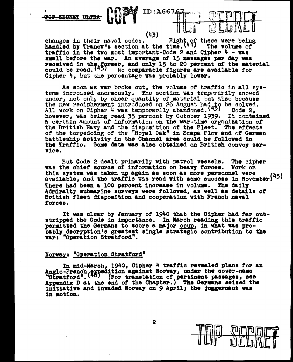**SECRET ULTRA** 

(43)

ID: A6676

changes in their naval codes. Eight of these were being<br>handled by Tranow's section at the time.  $(44)$  The volume of traffic in the two most important-Code 2 and Cipher  $4 - \text{was}$ small before the war. An average of 15 messages per day was received in the former, and only 15 to 20 percent of the material could be read.  $\binom{45}{5}$  No comparable figures are available for Cipher 4, but the percentage was probably lower.

As soon as war broke out, the volume of traffic in all systems increased enormously. The section was temporarily snowed under, not only by sheer quantity of material but also because the new recipherment introduced on 26 August had to be solved.<br>All work on Cipher 4 was temporarily abandoned. (43) Code 2, however, was being read 35 percent by October 1939. It contained a certain amount of information on the war-time organization of the British Navy and the disposition of the Fleet. The effects of the torpedoing of the "Royal Oak" in Scapa Flow and of German battleship activity in the Channel area could be followed in the Traffic. Some data was also obtained on British convoy service.

But Code 2 dealt primarily with patrol vessels. The cipher was the chief source of information on heavy forces. Work on this system was taken up again as soon as more personnel were available, and the traffic was read with some success in November. (45) There had been a 100 percent increase in volume. The daily Admiralty submarine surveys were followed, as well as details of British fleet disposition and cooperation with French naval forces.

It was clear by January of 1940 that the Cipher had far outstripped the Code in importance. In March reading this traffic permitted the Germans to score a major coup, in what was probably decryption's greatest single strategic contribution to the war: "Operation Stratford".

## Norway: "Operation Stratford"

In mid-March, 1940, Cipher 4 traffic revealed plans for an Anglo-French expedition against Norway, under the cover-name<br>"Stratford". (46) (For translation of pertinent passages, see<br>Appendix D at the end of the Chapter.) The Germans seized the initiative and invaded Norway on 9 April; the juggernaut was in motion.

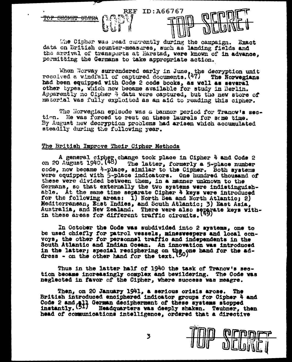

The Cipher was read currently during the campaign. Exact data on British counter-measures, such as landing fields and the arrival of transports at Harstad, were known of in advance. permitting the Germans to take appropriate action.

When Norway surrendered early in June, the decryption unit received a windfall of captured documents.  $(47)$  The Norwegians had been equipped with Code 2 code books, as well as several other types. Which now became available for study in Berlin. Apparently no Cipher 4 data were captured, but the new store of material was fully exploited as an aid to reading this cipher.

The Norwegian spisode was a banner period for Tranow's section. He was forced to rest on these laurels for some time. By August new decryption problems had arisen which accumulated steadily during the following year.

## The British Improve Their Cipher Methods

A general cipher change took place in Cipher 4 and Code 2 on 20 August 1940.  $(48)$  The latter, formerly a 5-place number code, now became 4-place, similar to the Cipher. Both systems were equipped with 5-place indicators. One hundred thousand of these were divided between them, in a manner unknown to the Germans, so that externally the two systems were indistinguishable. At the same time separate Cipher 4 keys were introduced for the following areas: 1) North Sea and North Atlantic; 2) Mediterranean, East Indies, and South Atlantic; 3) East Asia, Australia, and New Zealand. There were also separate keys with-<br>in these areas for different traffic circuits. (49)

In October the Code was subdivided into 2 systems, one to be used chiefly for patrol vessels, minesweepers and local convoys, the other for personnel traffic and independents in the South Atlantic and Indian Ocean. An innovation was introduced in the latter; special reciphering on the one hand for the ad-dress - on the other hand for the text.  $(50)$ 

Thus in the latter half of 1940 the task of Tranow's section became increasingly complex and bewildering. The Code was neglected in favor of the Cipher, where success was meagre.

Then, on 20 January 1941, a serious orisis arose. British introduced enciphered indicator groups for Cipher 4 and Code 2 and all German decipherment of these systems stopped<br>instantly. (51) Headquarters was deeply shaken. Teubner. t Headquarters was deeply shaken. Teubner, then head of communications intelligence, ordered that a directive

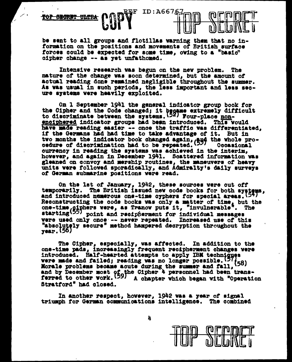

be sent to all groups and flotillas warning them that no information on the positions and movements of British surface forces could be expected for some time, owing to a "basic" cipher change -- as yet unfathomed.

Intensive research was begun on the new problem. **The** nature of the change was soon determined, but the amount of actual reading done remained negligible throughout the summer. As was usual in such periods, the less important and less secure systems were heavily exploited.

On 1 September 1941 the general indicator group book for the Cipher and the Code changed; it became extremely difficult<br>to discriminate between the systems. (52) Four-place nonenciphered indicator groups had been introduced. This would have made reading easier -- once the traffic was differentiated. if the Germans had had time to take advantage of it. But in two months the indicator book changed again, and the whole pro-<br>cedure of discrimination had to be repeated. (22) Occasional currency in reading the systems was achieved in the interim. however, and again in December 1941. Scattered information was gleaned on convoy and mership routines, the maneuvers of heavy units were followed sporadically, and Admiralty's daily surveys of German submarine positions were read.

On the 1st of January, 1942, these sources were cut off temporarily. The British issued new code books for both systems,<br>and introduced numerous one-time cyphers for special areas. (54) Reconstructing the code books was only a matter of time, but the one-time, giphers vere, as Tranow puts it, "invulnerable". starting<sup>(55)</sup> point and recipherment for individual messages were used only once -- never repeated. Increased use of this "absolutely secure" method hampered decryption throughout the year. (56)

The Cipher, especially, was affected. In addition to the one-time pads, increasingly frequent recipherment changes were introduced. Half-hearted attempts to apply IBM techniques were made and failed; reading was no longer possible.  $(5)$ Morale problems became acute during the summer and fall, (58) and by December most of the Cipher<sup>4</sup> personnel had been trans-<br>ferred to other work. (59) A chapter which began with "Operation Stratford" had closed.

In another respect, however, 1942 was a year of signal triumph for German communications intelligence. The combined

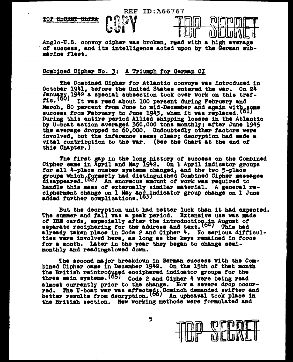REF ID: 466767

**ዋፀዋ** <del>SECRET ULTRA</del>



Anglo-U.S. convoy cipher was broken. read with a high average of success. and its intelligence acted upon by the German submarine fleet.

## Combined Cipher No. 3: A Triumph for German CI

The Combined Cipher for Atlantic convoys was introduced in October 1941. before the United States entered the war. On 24 January 1942 a special subsection took over work on this traf-<br>fic. (60) It was weed about 100 neweaut during Webmussen and It was read about 100 percent during February and March, 80 percent from June to mid-December and again with some success from February to June 1943, when it was replaced. (61) During this entire period Allied shipping losses in the Atlantic by U-boat action averaged 360,000 tons monthly; after June 1945 the average dropped to 60,000. Undoubtedly other factors were involved. but the inference seems clear; decryption had made a vital contribution to the war. (See the Chart at the end of this Chapter.)

The first gap in the long history of success on the Combined Cipher came in April and May 1942. On 1 April indicator groups for all 4-place number systems changed, and the two 5-place groups which formerly had distinguished Combined Cipher messages disappeared. (62) An enormous amount of work was required to handle this mass of externally similar material. A general recipherment change on 1 May and indicator group change on 1 June<br>added further complications. (62)

But the decryption unit had better luck than it had expected.<br>The summer and fall was a peak period. Extensive use was made of IBM cards, expecially after the introduction in August of separate reciphering for the address and text.  $(64)$  This had already taken place in Code 2 and Cipher 4. No serious difficulties were involved here, as long as the keys remained in force for a month. Later in the year they began to change semimonthly and readingslowed down.

The second major breakdown in German success with the Combined Cipher came in December 1942. On the 15th of that month the British reintroduced enciphered indicator groups for the three main systems. (65) Code 2 and Cipher 4 were being read almost currently prior to the change. Now a severe drop occurred. The U-boat war was affected. Cominch demanded swifter and better results from decryption. (00) An upheaval took place in the British section. New working methods were formulated and

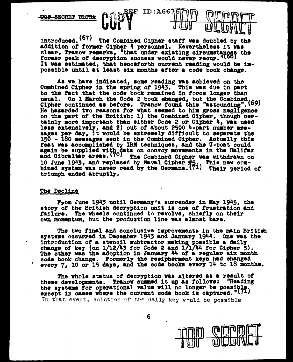**SEGRET ULTRA** 

introduced. (67) The Combined Cipher staff was doubled by the addition of former Cipher 4 personnel. Nevertheless it was clear, Tranov remarks, "that under existing circumstances the former peak of decryption success would never recur."(68) It was estimated, that henceforth current reading would be impossible until at least six months after a code book change.

REF

 $ID: A6676$ 

As ve have indicated, some reading was achieved on the Combined Cipher in the spring of 1943. This was due in part to the fact that the code book remained in force longer than usual. On 1 March the Code 2 book changed, but the Combined (69) Cipher continued as before. Tranow found this "astounding". (69) He hazarded two reasons for what seemed to him gross negligence on the part of the British: 1) the Combined Cipher, though certainly more important than either Code 2 or Cipher 4, was used less extensively, and 2) out of about 2500 4-part number mes-<br>sages per day, it would be extremely difficult to separate the 150 - 180 messages sent in the Combined Cipher. Actually this feat was accomplished by IBM techniques, and the U-boat could again be supplied with data on convoy movements in the Halifax<br>and Gibraltar areas. (70) The Combined Cipher was withdrawn on 10 June 1943, and replaced by Naval Cipher #5. This new com-<br>bined system was never read by the Germans. (71) Their period of triumph ended abruptly.

#### The Decline

From June 1943 until Germany's surrender in May 1945, the story of the British decryption unit is one of frustration and failure. The wheels continued to revolve, chiefly on their own momentum, but the production line was almost bare.

The two final and conclusive improvements in the main British systems occurred in December 1943 and January 1944. One was the introduction of a stencil subtractor making possible a daily change of key (on  $1/12/43$  for Code 2 and  $1/17/44$  for Cipher 5).<br>The other was the adoption in January 44 of a regular six month code book change. Formerly the recipherment keys had changed every 7, 10 or 15 days, and the code books every 14 to 18 months.

The whole status of decryption was altered as a result of "Reading these developments. Tranow summed it up as follows: the systems for operational value will no longer be possible,<br>except in cases where the current code book is captured."(71) In that event, solution of the daily key would be possible

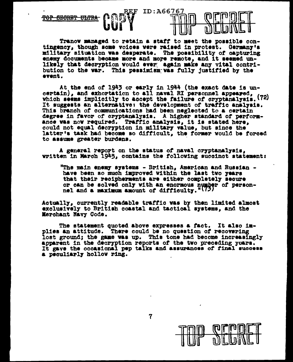

Tranov managed to retain a staff to meet the possible contingency, though some voices were raised in protest. Germany's military situation was desperate. The possibility of capturing enemy documents became more and more remote, and it seemed unlikely that decryption would ever again make any vital contribution to the war. This pessimism was fully justified by the event.

At the end of 1943 or early in 1944 (the exact date is uncertain), and exhortation to all naval RI personnel appeared, which seems implicitly to accept the failure of cryptanalysis. (72) It suggests an alternative: the development of traffic analysis. This branch of communications had been neglected to a certain degree in favor of cryptanalysis. A higher standard of performance was now required. Traffic analysis, it is stated here, could not equal decryption in military value, but since the latter's task had become so difficult, the former would be forced to assume greater burdens.

A general report on the status of naval cryptanalysis. written in March 1945, contains the following succinct statement:

"The main enemy systems - British, American and Russian have been so much improved within the last two years that their recipherments are either completely secure or can be solved only with an enormous number of personnel and a maximum amount of difficulty."(7)

Actually, currently readable traffic was by then limited almost exclusively to British coastal and tactical systems, and the Merchant Navy Code.

The statement quoted above expresses a fact. It also implies an attitude. There could be no question of recovering lost ground; the game was up. This tone had become increasingly apparent in the decryption reports of the two preceding years. It gave the occasional pep talks and assurances of final success a peculiarly hollow ring.



 $\overline{\mathbf{7}}$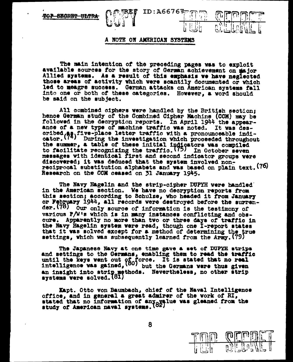## A NOTE ON AMERICAN SYSTEMS

 $ID: A66767777$ 

ă.

The main intention of the preceding pages was to exploit available sources for the story of German achievement on major Allied systems. As a result of this emphasis we have neglected those areas of activity which were scantily documented or which led to meagre success. German attacks on American systems fall into one or both of these categories. However, a word should be said on the subject.

All combined ciphers were handled by the British section: hence German study of the Combined Cipher Machine (CCM) may be followed in the decryption reports. In April 1944 the appearance of a new type of machine traffic was noted. It was desoribed  $\binom{63}{7}$  five-place letter traffic with a pronounceable indi-<br>cator.  $\binom{74}{7}$  During the investigation which proceeded throughout the summer, a table of these initial indicators was compiled<br>to facilitate recognizing the traffic. (75) In October seven messages with identical first and second indicator groups were discovered; it was deduced that the system involved nonreciprocal substitution alphabets and was based on plain text. (76) Research on the CCM ceased on 31 January 1945.

The Navy Hagelin and the strip-cipher DUPYH were handled in the American section. We have no decryption reports from this section; according to Schulze, who headed it from January or February 1944, all records were destroyed before the surrender. (78) our only source of information is the testimony of various P/W's which is in many instances conflicting and obscure. Apparently no more than two or three days of traffic in the Navy Hagelin system were read, though one I-report states that it was solved except for a method of determining the true settings, which was subsequently learned from the Army. (79)

The Japanese Navy at one time gave a set of DUPYH strips and settings to the Germans, enabling them to read the traffic until the keys went out of force. It is stated that no real intelligence was gained,  $\left(80\right)$  but the Germans were thus given an insight into strip methods. Nevertheless, no other strip systems were solved. (81)

Kapt. Otto von Baumbach, chief of the Naval Intelligence office, and in general a great admirer of the work of RI, stated that no information of any yalue was gleaned from the study of American naval systems. (82)

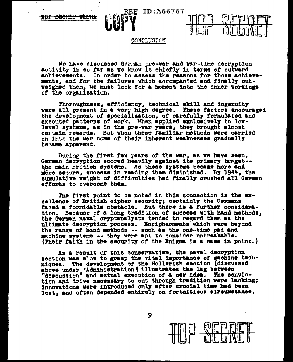**20P SEORET ULTR** 



## CONCLUSION

ID:A66767

We have discussed German pre-war and war-time decryption activity in so far as we know it chiefly in terms of outward achievements. In order to assess the reasons for those achievements, and for the failures which accompanied and finally outweighed them, we must look for a moment into the inner workings of the organization.

Thoroughness, efficiency, technical skill and ingenuity were all present in a very high degree. These factors encouraged the development of specialization, of carefully formulated and executed patterns of work. When applied exclusively to lowlevel systems, as in the pre-war years, they brought almost certain revards. But when these familiar methods were carried on into the war some of their inherent weaknesses gradually became apparent.

During the first few years of the war, as we have seen, German decryption scored heavily against its primary tanget-the main British systems. As these systems became more and more secure, success in reading them diminished. By 1944, the cumulative weight of difficulties had finally crushed all German efforts to overcome them.

The first point to be noted in this connection is the excellence of British cipher security; certainly the Germans faced a formidable obstacle. But there is a further consideration. Because of a long tradition of success with hand methods, the German naval cryptanalysts tended to regard them as the ultimate decryption process. Engipherments which were beyond the range of hand methods -- such as the one-time pad and machine systems -- they were apt to consider unbreakable. (Their faith in the security of the Enigma is a case in point.)

As a result of this conservatism, the naval decryption section was slow to grasp the vital importance of machine techniques. The development of the Hollerith section (discussed above under 'Administration' illustrates the lag between "discussion" and actual execution of a new idea. The conviction and drive necessary to cut through tradition were lacking; innovations were introduced only after crucial time had been lost, and often depended entirely on fortuitious circumstance.

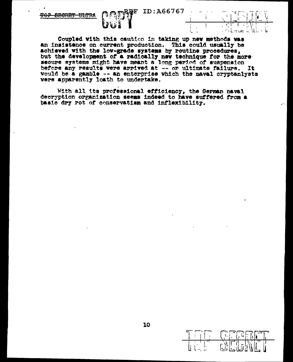**F ID:A66767** 



Coupled with this caution in taking up new methods was an insistence on current production. This could usually be achieved with the low-grade systems by routine procedures, but the development of a radically new technique for the more secure systems might have meant a long period of suspension before any results were arrived at -- or ultimate failure. It would be a gamble -- an enterprise which the naval cryptanlysts vere apparently loath to undertake.

With all its professional efficiency, the German naval decryption organization seems indeed to have suffered from a basic dry rot of conservatism and inflexibility.

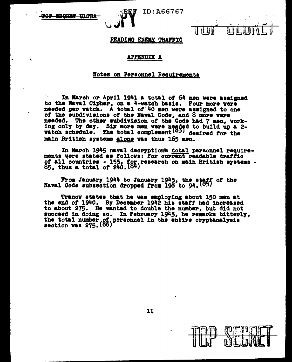**BRORBT** <del>ultro</del>

 $\mathcal{L}$ 



ID:A66767

**TEBR** 

## READING ENEMY TRAFFIC

### **APPENDIX A**

#### Notes on Personnel Requirements

In March or April 1941 a total of 64 men were assigned to the Naval Cipher, on a 4-watch basis. Four more were needed per watch. A total of 40 men were assigned to one of the subdivisions of the Naval Code, and 8 more were needed. The other subdivision of the Code had 7 men, working only by day. Six more men were needed to build up a 2-watch schedule. The total complement  $(32)$  desired for the main British systems alone was thus 165 men.

In March 1945 naval decryptions total personnel requirements were stated as follows: for current readable traffic of all countries - 155, for research on main British systems - 85, thus a total of  $240. (84)$ 

From January 1944 to January 1945, the staff of the Naval Code subsection dropped from 198 to 94.  $(85)$ 

Tranov states that he was employing about 150 men at the end of 1940. By December 1942 his staff had increased to about 275. He wanted to double the number, but did not succeed in doing so. In February 1945, he remarks bitterly, the total number of personnel in the entire cryptanalysis section was 275. (86)



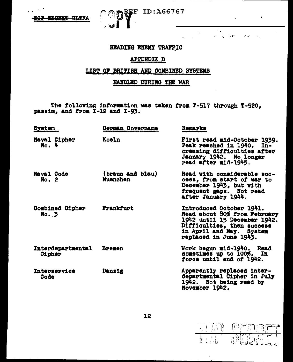TOP SECRET ULTRA

# READING ENEMY TRAFFIC

**F** ID:A66767

 $\mathcal{L}(\mathbf{z})$ 

والدستاني سابا

# **APPENDIX B**

# LIST OF BRITISH AND COMBINED SYSTEMS

# HANDLED DURING THE WAR

The following information was taken from T-517 through T-520, passim, and from I-12 and I-93.

| <b>System</b>                   | German Covername             | Remarks                                                                                                                                                                      |
|---------------------------------|------------------------------|------------------------------------------------------------------------------------------------------------------------------------------------------------------------------|
| Naval Cipher<br>$No.$ 4         | Koeln                        | First read mid-October 1939.<br>Peak reached in 1940. In-<br>creasing difficulties after<br>January 1942. No longer<br>read after mid-1945.                                  |
| <b>Naval Code</b><br>No. 2      | (braun and blau)<br>Muenchen | Read with considerable suc-<br>cess, from start of war to<br>December 1943, but with<br>frequent gaps. Not read<br>after January 1944.                                       |
| <b>Combined Cipher</b><br>No. 3 | Frankfurt                    | Introduced October 1941.<br>Read about 80% from February<br>1942 until 15 December 1942.<br>Difficulties, then success<br>in April and May. System<br>replaced in June 1943. |
| Interdepartmental<br>Cipher     | <b>Bremen</b>                | Work begun mid-1940. Read<br>sometimes up to 100%. In<br>force until and of 1942.                                                                                            |
| Interservice<br>Code            | Dansig                       | Apparently replaced inter-<br>departmental Cipher in July<br>1942. Not being read by<br>November 1942.                                                                       |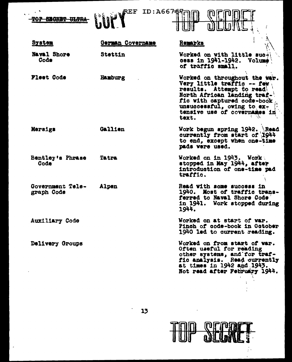$\ddot{\phantom{a}}$ TOP SECRET ULTRA

 $\sim$ 

 $\ddot{\phantom{0}}$ 

 $\overline{\phantom{a}}$ 



 $\frac{1}{2}$ 

| <b>System</b>                  | German Covername | Remarks                                                                                                                                                                                                                       |
|--------------------------------|------------------|-------------------------------------------------------------------------------------------------------------------------------------------------------------------------------------------------------------------------------|
| <b>Naval Shore</b><br>Code     | Stettin          | Worked on with little such<br>cess in 1941-1942. Volume<br>of traffic small.                                                                                                                                                  |
| Fleet Code                     | Hamburg          | Worked on throughout the war.<br>Very little traffic -- few<br>results. Attempt to read<br>North African landing traf-'<br>fic with captured code-book<br>unsuccessful, owing to ex-<br>tensive use of covernames in<br>text. |
| Mersigs                        | Gallien          | Work begun spring 1942. Read<br>currently from start of 1944<br>to end, except when one-time<br>pads vere used.                                                                                                               |
| Bentley's Phrase<br>Code       | <b>Tatra</b>     | Worked on in 1943. Work<br>stopped in May 1944, after<br>introduction of one-time pad<br>traffic.                                                                                                                             |
| Government Tele-<br>graph Code | Alpen            | Read with some success in<br>1940. Most of traffic trans-<br>ferred to Naval Shore Code<br>in 1941. Work stopped during<br>1944.                                                                                              |
| Auxiliary Code                 |                  | Worked on at start of war.<br>Pinch of code-book in October<br>1940 led to current reading.                                                                                                                                   |
| Delivery Groups                |                  | Worked on from start of war.<br>Often useful for reading<br>other systems, and for traf-<br>fic analysis. Read currently<br>at times in 1942 and 1943.<br>Not read after February 1944.                                       |



 $\ddot{\phantom{0}}$ 

ŧ.  $\ddot{\phantom{a}}$ 

 $\ddot{\phantom{a}}$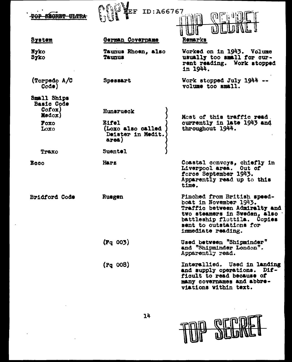| <del>oltra</del>                                                                     | ID:A66767                                                                               |                                                                                                                                                                                                               |
|--------------------------------------------------------------------------------------|-----------------------------------------------------------------------------------------|---------------------------------------------------------------------------------------------------------------------------------------------------------------------------------------------------------------|
| <b>System</b>                                                                        | German Covername                                                                        | Remarks                                                                                                                                                                                                       |
| Nyko<br>Syko                                                                         | Taunus Rhoen, also<br><b>Taunus</b>                                                     | Worked on in 1943. Volume<br>usually too small for cur-<br>rent reading. Work stopped<br>in 1944.                                                                                                             |
| (Torpedo A/C<br>Code)                                                                | Spessart                                                                                | Work stopped July 1944<br>volume too small.                                                                                                                                                                   |
| Small Ships<br><b>Basic Code</b><br>Cofox)<br>Medox)<br><b>Poxo</b><br>Loxo<br>Traxo | Hunsrueck<br><b>Eifel</b><br>(Loxo also called<br>Deister in Medit.<br>area)<br>Suentel | Most of this traffic read.<br>currently in late 1943 and<br>throughout 1944.                                                                                                                                  |
| <b>Ecco</b>                                                                          | Harz                                                                                    | Coastal convoys, chiefly in<br>Liverpool area. Out of<br>force September 1943.<br>Apparently read up to this<br>time.                                                                                         |
| Bridford Code                                                                        | Ruegen                                                                                  | Pinched from British speed-<br>boat in November 1943.<br><b>Traffic between Admiralty and</b><br>two steamers in Sweden, also<br>battleship flottila. Copies<br>sent to outstations for<br>immediate reading. |
|                                                                                      | $(\mathbf{Fq} 003)$                                                                     | Used between "Shipminder"<br>and "Shipminder London".<br>Apparently read.                                                                                                                                     |
|                                                                                      | (Pq 008)                                                                                | Intersllied. Used in landing<br>and supply operations. Dif-<br>ficult to read because of<br>many covernames and abbre-<br>viations within text.                                                               |



 $\ddot{\phantom{a}}$ 

 $\blacksquare$ 

 $\bar{\mathcal{A}}$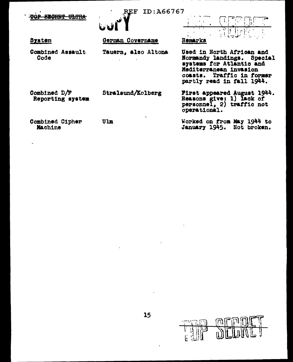| <del>SEGRET ULTR</del>           | ID:A66767<br>ا هي       |                                                                                                                                                                               |
|----------------------------------|-------------------------|-------------------------------------------------------------------------------------------------------------------------------------------------------------------------------|
| System                           | German Covername        | Remarks                                                                                                                                                                       |
| Combined Assault<br>Code         | Tauern, also Altona     | Used in North African and<br>Normandy landings.<br>Special<br>systems for Atlantic and<br>Mediterranean invasion<br>Traffic in former<br>CORSts.<br>partly read in fall 1944. |
| Combined D/F<br>Reporting system | Stralsund/Kolberg       | First appeared August 1944.<br>Reasons give: 1) lack of<br>personnel, $2)$ traffic not<br>operational.                                                                        |
| Combined Cipher<br>Machine       | $\lambda$<br><b>Ulm</b> | Worked on from May 1944 to<br>January 1945.<br>Not broken.                                                                                                                    |

l.

 $\omega_{\rm{max}}$ 

 $\mathbb{T}$ 

切に

i<br>E

**FILE**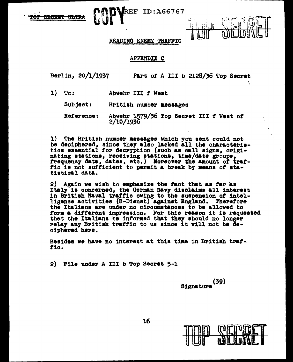

# **REF ID:A66767**

## READING ENEMY TRAFFIC

### APPENDIX C

Berlin, 20/1/1937

Part of A III b 2128/36 Top Secret

- $1)$ Toi Abvehr III f West
	- $Subject:$ British number messages

Abvehr 1579/36 Top Secret III f West of Reference:  $2/10/1936$ 

1) The British number messages which you sent could not be deciphered, since they also lacked all the characteristics essential for decryption (such as call signs, originating stations, receiving stations, time/date groups, frequency data, dates, etc.) Moreover the amount of traffic is not sufficient to permit a break by means of statistical data.

2) Again we wish to emphasize the fact that as far as Italy is concerned, the German Navy disclaims all interest in British Naval traffic owing to the suspension of intelligence activities (B-Dienst) against England. Therefore the Italians are under no circumstances to be allowed to form a different impression. For this reason it is requested that the Italians be informed that they should no longer relay any British traffic to us since it will not be deciphered here.

Besides we have no interest at this time in British traffic.

2) File under A III b Top Secret 5-1

 $(39)$ **Signature** 

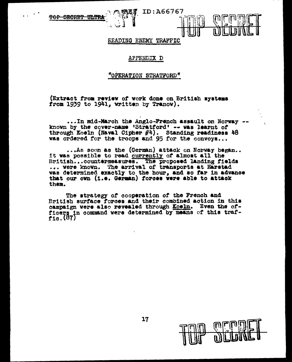**40P** <del>SECRET</del> <del>111.TR</del>

BEADING ENEMY TRAFFIC

ID:A66767

## APPENDIX D

## "OPERATION STRATFORD"

(Extract from review of work done on Br1t1ah a7atema from  $1939$  to  $1941$ , written by Tranow).

••• In m1.d·March the Anglo-Prencb assault on Norway -- known by the cover-name •Stratford' -- vaa learnt of through Koeln (Naval Cipher #4). Standing readiness 48 was ordered for the troops and 95 for the convoys...

 $\ldots$ As soon as the (German) attack on Norway began.. it vas possible to read currently of almost &11 the British...countermeasures. The proposed landing fields ... vere known. The arrival of transports at Harstad was determined exactly to the hour, and so far in advance tbat our ovn (1.e. German) torcea were able to attack them.·

The atrategy or cooperation of the French and British surface toroea and their combined action in thia campaign vere also revealed through Koeln. Even the officers in command were determined by means of this traffic. (67J

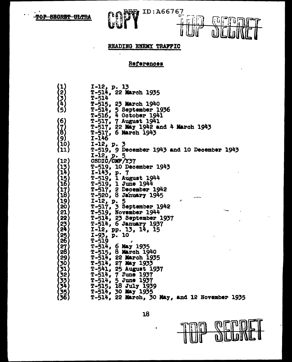$\ddot{\phantom{0}}$ 

 $\ddot{\phantom{a}}$ 



 $\ddot{\phantom{0}}$ 



# READING ENEMY TRAFFIC

# References

|                                                                                    | I-12, p. 13                                      |
|------------------------------------------------------------------------------------|--------------------------------------------------|
| $\begin{array}{c} \begin{pmatrix} 1 \\ 2 \\ 3 \\ 4 \\ 1 \end{pmatrix} \end{array}$ | T-514, 22 March 1935                             |
|                                                                                    | <b>T-514</b>                                     |
|                                                                                    | T-515, 23 March 1940                             |
| (5)                                                                                | $T - 514$ ,                                      |
|                                                                                    | T-514, 5 September 1936<br>T-516, 4 October 1941 |
| (6)                                                                                | <b>T-517, 7 August 1941</b>                      |
|                                                                                    | T-517, 22 May 1942 and 4 March 1943              |
| $\{ \vec{8} \}$                                                                    | <b>T-517, 6 March 1943</b>                       |
| (9)                                                                                | I-146                                            |
| (10)                                                                               | $I-12$ , p. 3                                    |
| (11)                                                                               | T-519, 9 December 1943 and 10 December 1943      |
|                                                                                    | $I-12$ , p. 5                                    |
| 【12】                                                                               | CSDIC/CMF/Y37                                    |
| 13)                                                                                | <b>T-519, 10 December 1943</b>                   |
| $\mathbf{14}$                                                                      | $I-143$ , p. 7                                   |
|                                                                                    | T-519, 1 August 1944                             |
| $\begin{bmatrix} 15 \\ 16 \end{bmatrix}$                                           | $T-519$ , 1 June 1944                            |
| 17                                                                                 | T-517, 2 December 1942                           |
| 18)                                                                                | $T-520$ , 8 January 1945                         |
| 19)                                                                                |                                                  |
| $20 \overline{)}$                                                                  | I-12, p. 5<br>T-517, 3 September 1942            |
| 21                                                                                 | T-519, November 1944                             |
| 22                                                                                 | T-514, 23 September 1937                         |
|                                                                                    | T-514, 6 January 1937                            |
| $\frac{23}{24}$                                                                    | I-12, pp. 13, 14, 15                             |
|                                                                                    | $I-93$ , p. 10                                   |
| $\frac{25}{26}$                                                                    | $T - 519$                                        |
|                                                                                    | $T-514$ , 6 May 1935                             |
|                                                                                    | T-515, 8 March 1940                              |
|                                                                                    | T-514, 22 March 1935                             |
|                                                                                    | T-514, 27 May 1933                               |
|                                                                                    | T-541, 25 August 1937                            |
|                                                                                    | T-514, 7 June 1937                               |
|                                                                                    | $T-514$ , $5$ June 1937                          |
| 228901223456                                                                       | T-515, 18 July 1939                              |
|                                                                                    | $T - 514$ ,<br>30 May 1935                       |
|                                                                                    | $T-514$ , 22 March, 30 May, and 12 November 1935 |
|                                                                                    |                                                  |



 $\bullet$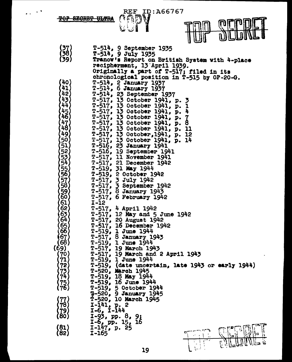REF\_ID:A66767

**TOP SECRET ULTRA** 

..



| $\left(\begin{array}{c} 37 \ 58 \end{array}\right)$<br>(39                                                                | T-514, 9 September 1935<br>T-514, 9 July 1935<br>Tranow's Report on British System with 4-place<br>recipherment, 13 April 1939.                                                                                                                                                                                                                                                                                                                                                                                                                                                                                                           |
|---------------------------------------------------------------------------------------------------------------------------|-------------------------------------------------------------------------------------------------------------------------------------------------------------------------------------------------------------------------------------------------------------------------------------------------------------------------------------------------------------------------------------------------------------------------------------------------------------------------------------------------------------------------------------------------------------------------------------------------------------------------------------------|
| 40)<br>41<br>42<br>43<br>44<br>45<br>46<br>47<br>48<br>49)<br>50<br>51<br>52534<br>55678                                  | Originally a part of T-517; filed in its<br>chronological position in T-515 by OP-20-G.<br>T-514, 2 January 1937<br>T-514, 6 January 1937<br>T-514, 23 September 1937<br>T-517, 13 October 1941, p.<br>↗<br>T-517, 13 October 1941, p.<br>1<br>T-517, 13 October 1941, p.<br>4<br>T-517, 13 October 1941, p.<br>7<br>T-517, 13 October 1941,<br>$\mathbf{p}$ .<br>T-517, 13 October 1941, p. 11<br>T-517, 13 October, 1941, p. 12<br>$T-517$ , 13 October 1941, p.<br>14<br>T-516, 23 January 1941<br>T-516, 19 September 1941<br>T-517, 11 November 1941<br>$T-517$ , 21 December 1942<br>$T-519$ , 31 May 1944<br>T-519, 2 October 1942 |
| 59)<br>60)<br>61<br>62)<br>63<br>64<br>65<br>66<br>(67<br>(68)<br>(69)<br>(70)<br>$\begin{array}{c} 71 \\ 72 \end{array}$ | $T-517$ , $3$ July 1942<br>$T-517$ , $\zeta$ September 1942<br>T-517, 8 January 1943<br>T-517, 6 February 1942<br>$I-12$<br>$T-517$ , 4 April 1942<br>T-517, 12 May and 5 June 1942<br>T-517, 20 August 1942<br>$T-517$ , 16 December 1942<br>$T-519$ , 1 June 1944<br>$T-517$ , 8 January 1943<br>$T-519$ , 1 June 1944<br>$T-517$ , 19 March 1943<br>T-517, 19 March and 2 April 1943<br>$T-519$ , 1 June 1944<br>$T-519$ , (date uncertain, late 1943 or early 1944)                                                                                                                                                                   |
| 78<br>$\binom{81}{82}$                                                                                                    | T-520, March 1945<br>T-519, 18 May 1944<br>T-519, 16 June 1944<br>T-519, 5 October 1944<br>T-520, 9 January 1945<br>T-520, 70 March 1045<br>T-520, 10 March 1945<br>I-141, p. 2<br>$I-6$ , $I-144$<br>-93, pp. 8, 91<br>$1-6$ , pp. 15, 16<br>$1-147$ , p. 25<br>I-165<br>19                                                                                                                                                                                                                                                                                                                                                              |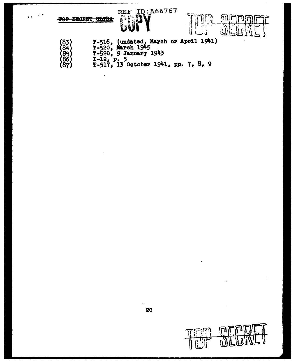

 $\sim$   $^{\circ}$ 

(87)

 $\bullet$   $\bullet$